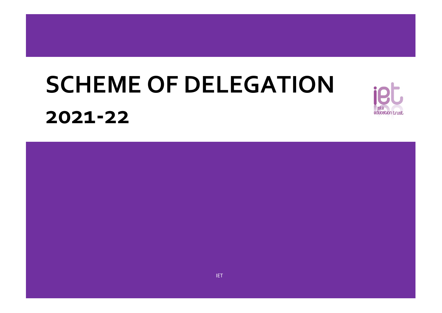# **SCHEME OF DELEGATION 2021-22**

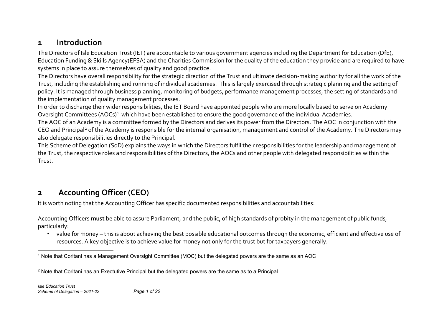#### <span id="page-1-1"></span><span id="page-1-0"></span>**1 Introduction**

The Directors of Isle Education Trust (IET) are accountable to various government agencies including the Department for Education (DfE), Education Funding & Skills Agency(EFSA) and the Charities Commission for the quality of the education they provide and are required to have systems in place to assure themselves of quality and good practice.

The Directors have overall responsibility for the strategic direction of the Trust and ultimate decision-making authority for all the work of the Trust, including the establishing and running of individual academies. This is largely exercised through strategic planning and the setting of policy. It is managed through business planning, monitoring of budgets, performance management processes, the setting of standards and the implementation of quality management processes.

In order to discharge their wider responsibilities, the IET Board have appointed people who are more locally based to serve on Academy Oversight Committees (AOCs)<sup>[1](#page-1-0)</sup> which have been established to ensure the good governance of the individual Academies.

The AOC of an Academy is a committee formed by the Directors and derives its power from the Directors. The AOC in conjunction with the CEO and Principal<sup>[2](#page-1-1)</sup> of the Academy is responsible for the internal organisation, management and control of the Academy. The Directors may also delegate responsibilities directly to the Principal.

This Scheme of Delegation (SoD) explains the ways in which the Directors fulfil their responsibilities for the leadership and management of the Trust, the respective roles and responsibilities of the Directors, the AOCs and other people with delegated responsibilities within the Trust.

### **2 Accounting Officer (CEO)**

It is worth noting that the Accounting Officer has specific documented responsibilities and accountabilities:

Accounting Officers **must** be able to assure Parliament, and the public, of high standards of probity in the management of public funds, particularly:

• value for money – this is about achieving the best possible educational outcomes through the economic, efficient and effective use of resources. A key objective is to achieve value for money not only for the trust but for taxpayers generally.

 <sup>1</sup> Note that Coritani has a Management Oversight Committee (MOC) but the delegated powers are the same as an AOC

<sup>&</sup>lt;sup>2</sup> Note that Coritani has an Exectutive Principal but the delegated powers are the same as to a Principal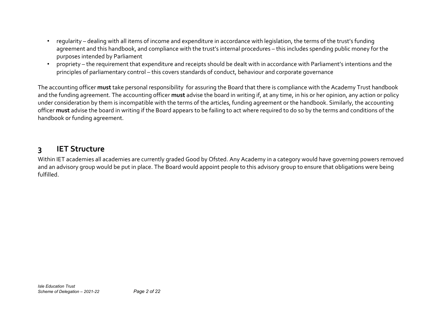- regularity dealing with all items of income and expenditure in accordance with legislation, the terms of the trust's funding agreement and this handbook, and compliance with the trust's internal procedures – this includes spending public money for the purposes intended by Parliament
- propriety the requirement that expenditure and receipts should be dealt with in accordance with Parliament's intentions and the principles of parliamentary control – this covers standards of conduct, behaviour and corporate governance

The accounting officer **must** take personal responsibility for assuring the Board that there is compliance with the Academy Trust handbook and the funding agreement. The accounting officer **must** advise the board in writing if, at any time, in his or her opinion, any action or policy under consideration by them is incompatible with the terms of the articles, funding agreement or the handbook. Similarly, the accounting officer **must** advise the board in writing if the Board appears to be failing to act where required to do so by the terms and conditions of the handbook or funding agreement.

### **3 IET Structure**

Within IET academies all academies are currently graded Good by Ofsted. Any Academy in a category would have governing powers removed and an advisory group would be put in place. The Board would appoint people to this advisory group to ensure that obligations were being fulfilled.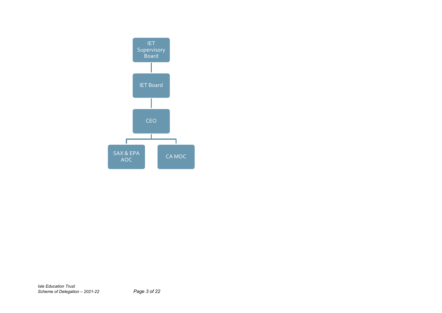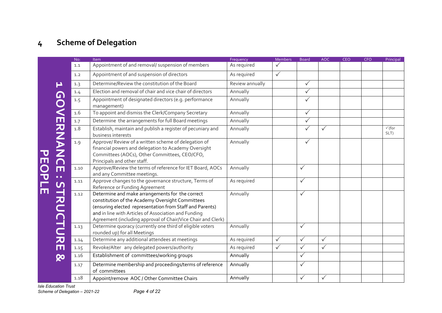# **4 Scheme of Delegation**

|        |                  | No:  | Item                                                                                                                                                                                                                                                                                    | Frequency       | <b>Members</b> | <b>Board</b> | <b>AOC</b>   | <b>CEO</b> | <b>CFO</b> | Principal                 |
|--------|------------------|------|-----------------------------------------------------------------------------------------------------------------------------------------------------------------------------------------------------------------------------------------------------------------------------------------|-----------------|----------------|--------------|--------------|------------|------------|---------------------------|
|        |                  | 1.1  | Appointment of and removal/ suspension of members                                                                                                                                                                                                                                       | As required     | $\checkmark$   |              |              |            |            |                           |
|        |                  | 1.2  | Appointment of and suspension of directors                                                                                                                                                                                                                                              | As required     | $\checkmark$   |              |              |            |            |                           |
|        | Р                | 1.3  | Determine/Review the constitution of the Board                                                                                                                                                                                                                                          | Review annually |                | $\checkmark$ |              |            |            |                           |
|        |                  | 1.4  | Election and removal of chair and vice chair of directors                                                                                                                                                                                                                               | Annually        |                | $\checkmark$ |              |            |            |                           |
|        |                  | 1.5  | Appointment of designated directors (e.g. performance<br>management)                                                                                                                                                                                                                    | Annually        |                | $\checkmark$ |              |            |            |                           |
|        |                  | 1.6  | To appoint and dismiss the Clerk/Company Secretary                                                                                                                                                                                                                                      | Annually        |                | $\checkmark$ |              |            |            |                           |
|        |                  | 1.7  | Determine the arrangements for full Board meetings                                                                                                                                                                                                                                      | Annually        |                | $\checkmark$ |              |            |            |                           |
|        |                  | 1.8  | Establish, maintain and publish a register of pecuniary and<br>business interests                                                                                                                                                                                                       | Annually        |                | $\checkmark$ | $\checkmark$ |            |            | $\checkmark$ (for<br>SLT) |
|        | <b>GOVERNANC</b> | 1.9  | Approve/ Review of a written scheme of delegation of<br>financial powers and delegation to Academy Oversight<br>Committees (AOCs), Other Committees, CEO/CFO,<br>Principals and other staff.                                                                                            | Annually        |                | $\checkmark$ |              |            |            |                           |
| m<br>O | Ш<br>a a         | 1.10 | Approve/Review the terms of reference for IET Board, AOCs<br>and any Committee meetings.                                                                                                                                                                                                | Annually        |                | $\checkmark$ |              |            |            |                           |
| 군<br>그 | $\mathsf{U}$     | 1.11 | Approve changes to the governance structure, Terms of<br>Reference or Funding Agreement                                                                                                                                                                                                 | As required     |                | $\checkmark$ |              |            |            |                           |
| Ш      | TRUCTURE         | 1.12 | Determine and make arrangements for the correct<br>constitution of the Academy Oversight Committees<br>(ensuring elected representation from Staff and Parents)<br>and in line with Articles of Association and Funding<br>Agreement (including approval of Chair/Vice Chair and Clerk) | Annually        |                | $\checkmark$ |              |            |            |                           |
|        |                  | 1.13 | Determine quoracy (currently one third of eligible voters<br>rounded up) for all Meetings                                                                                                                                                                                               | Annually        |                | $\checkmark$ |              |            |            |                           |
|        |                  | 1.14 | Determine any additional attendees at meetings                                                                                                                                                                                                                                          | As required     | $\checkmark$   | $\checkmark$ | $\checkmark$ |            |            |                           |
|        |                  | 1.15 | Revoke/Alter any delegated powers/authority                                                                                                                                                                                                                                             | As required     | $\checkmark$   | $\checkmark$ | $\checkmark$ |            |            |                           |
|        | ହ                | 1.16 | Establishment of committees/working groups                                                                                                                                                                                                                                              | Annually        |                | $\checkmark$ |              |            |            |                           |
|        |                  | 1.17 | Determine membership and proceedings/terms of reference<br>of committees                                                                                                                                                                                                                | Annually        |                | $\checkmark$ |              |            |            |                           |
|        |                  | 1.18 | Appoint/remove AOC / Other Committee Chairs                                                                                                                                                                                                                                             | Annually        |                | $\checkmark$ | $\checkmark$ |            |            |                           |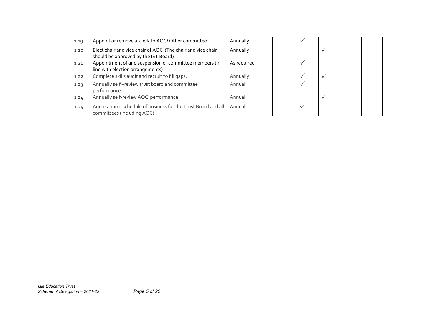| 1.19 | Appoint or remove a clerk to AOC/ Other committee                                                   | Annually    |  |  |  |
|------|-----------------------------------------------------------------------------------------------------|-------------|--|--|--|
| 1.20 | Elect chair and vice chair of AOC (The chair and vice chair<br>should be approved by the IET Board) | Annually    |  |  |  |
| 1.21 | Appointment of and suspension of committee members (in<br>line with election arrangements)          | As required |  |  |  |
| 1.22 | Complete skills audit and recruit to fill gaps.                                                     | Annually    |  |  |  |
| 1.23 | Annually self-review trust board and committee<br>performance                                       | Annual      |  |  |  |
| 1.24 | Annually self-review AOC performance                                                                | Annual      |  |  |  |
| 1.25 | Agree annual schedule of business for the Trust Board and all<br>committees (including AOC)         | Annual      |  |  |  |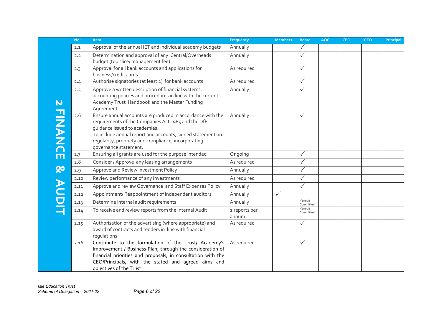|                                             | No:  | <b>Item</b>                                                                                                                                                                                                                                                                                     | Frequency              | <b>Members</b> | <b>Board</b>          | <b>AOC</b> | <b>CEO</b> | <b>CFO</b> | Principal |
|---------------------------------------------|------|-------------------------------------------------------------------------------------------------------------------------------------------------------------------------------------------------------------------------------------------------------------------------------------------------|------------------------|----------------|-----------------------|------------|------------|------------|-----------|
|                                             | 2.1  | Approval of the annual IET and individual academy budgets                                                                                                                                                                                                                                       | Annually               |                | $\checkmark$          |            |            |            |           |
|                                             | 2.2  | Determination and approval of any Central/Overheads<br>budget (top slice/ management fee)                                                                                                                                                                                                       | Annually               |                | $\checkmark$          |            |            |            |           |
|                                             | 2.3  | Approval for all bank accounts and applications for<br>business/credit cards                                                                                                                                                                                                                    | As required            |                | $\checkmark$          |            |            |            |           |
|                                             | 2.4  | Authorise signatories (at least 2) for bank accounts                                                                                                                                                                                                                                            | As required            |                | $\checkmark$          |            |            |            |           |
| $\mathbf N$                                 | 2.5  | Approve a written description of financial systems,<br>accounting policies and procedures in line with the current<br>Academy Trust Handbook and the Master Funding<br>Agreement.                                                                                                               | Annually               |                | $\checkmark$          |            |            |            |           |
| <b>FINANCE</b>                              | 2.6  | Ensure annual accounts are produced in accordance with the<br>requirements of the Companies Act 1985 and the DfE<br>quidance issued to academies.<br>To include annual report and accounts, signed statement on<br>regularity, propriety and compliance, incorporating<br>governance statement. | Annually               |                | $\checkmark$          |            |            |            |           |
|                                             | 2.7  | Ensuring all grants are used for the purpose intended                                                                                                                                                                                                                                           | Ongoing                |                | $\checkmark$          |            |            |            |           |
|                                             | 2.8  | Consider / Approve any leasing arrangements                                                                                                                                                                                                                                                     | As required            |                | $\checkmark$          |            |            |            |           |
| ହ                                           | 2.9  | Approve and Review Investment Policy                                                                                                                                                                                                                                                            | Annually               |                | $\checkmark$          |            |            |            |           |
|                                             | 2.10 | Review performance of any Investments                                                                                                                                                                                                                                                           | As required            |                | $\checkmark$          |            |            |            |           |
| $\blacktriangleright$                       | 2.11 | Approve and review Governance and Staff Expenses Policy                                                                                                                                                                                                                                         | Annually               |                | $\checkmark$          |            |            |            |           |
| $\frac{\textstyle\sigma}{\textstyle\sigma}$ | 2.12 | Appointment/Reappointment of independent auditors                                                                                                                                                                                                                                               | Annually               | $\checkmark$   |                       |            |            |            |           |
|                                             | 2.13 | Determine internal audit requirements                                                                                                                                                                                                                                                           | Annually               |                | √(Audit<br>Committee) |            |            |            |           |
|                                             | 2.14 | To receive and review reports from the Internal Audit                                                                                                                                                                                                                                           | 2 reports per<br>annum |                | √(Audit<br>Committee) |            |            |            |           |
|                                             | 2.15 | Authorisation of the advertising (where appropriate) and<br>award of contracts and tenders in line with financial<br>regulations                                                                                                                                                                | As required            |                | $\checkmark$          |            |            |            |           |
|                                             | 2.16 | Contribute to the formulation of the Trust/ Academy's<br>Improvement / Business Plan, through the consideration of<br>financial priorities and proposals, in consultation with the<br>CEO/Principals, with the stated and agreed aims and<br>objectives of the Trust                            | As required            |                | $\checkmark$          |            |            |            |           |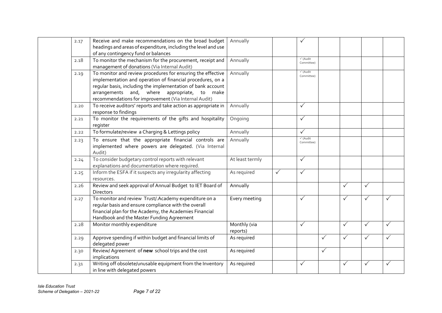| 2.17 | Receive and make recommendations on the broad budget                                                                                                                                                                                                                                                | Annually                 |              | $\checkmark$           |              |              |              |              |
|------|-----------------------------------------------------------------------------------------------------------------------------------------------------------------------------------------------------------------------------------------------------------------------------------------------------|--------------------------|--------------|------------------------|--------------|--------------|--------------|--------------|
|      | headings and areas of expenditure, including the level and use<br>of any contingency fund or balances                                                                                                                                                                                               |                          |              |                        |              |              |              |              |
| 2.18 | To monitor the mechanism for the procurement, receipt and<br>management of donations (Via Internal Audit)                                                                                                                                                                                           | Annually                 |              | √(Audit<br>Committee)  |              |              |              |              |
| 2.19 | To monitor and review procedures for ensuring the effective<br>implementation and operation of financial procedures, on a<br>regular basis, including the implementation of bank account<br>arrangements and, where appropriate, to<br>make<br>recommendations for improvement (Via Internal Audit) | Annually                 |              | √(Audit<br>Committee)  |              |              |              |              |
| 2.20 | To receive auditors' reports and take action as appropriate in<br>response to findings                                                                                                                                                                                                              | Annually                 |              | $\checkmark$           |              |              |              |              |
| 2.21 | To monitor the requirements of the gifts and hospitality<br>register                                                                                                                                                                                                                                | Ongoing                  |              | $\checkmark$           |              |              |              |              |
| 2.22 | To formulate/review a Charging & Lettings policy                                                                                                                                                                                                                                                    | Annually                 |              | $\checkmark$           |              |              |              |              |
| 2.23 | To ensure that the appropriate financial controls are<br>implemented where powers are delegated. (Via Internal<br>Audit)                                                                                                                                                                            | Annually                 |              | √ (Audit<br>Committee) |              |              |              |              |
| 2.24 | To consider budgetary control reports with relevant<br>explanations and documentation where required.                                                                                                                                                                                               | At least termly          |              | $\checkmark$           |              |              |              |              |
| 2.25 | Inform the ESFA if it suspects any irregularity affecting<br>resources.                                                                                                                                                                                                                             | As required              | $\checkmark$ | $\checkmark$           |              |              |              |              |
| 2.26 | Review and seek approval of Annual Budget to IET Board of<br><b>Directors</b>                                                                                                                                                                                                                       | Annually                 |              |                        |              | $\checkmark$ | $\checkmark$ |              |
| 2.27 | To monitor and review Trust/. Academy expenditure on a<br>regular basis and ensure compliance with the overall<br>financial plan for the Academy, the Academies Financial<br>Handbook and the Master Funding Agreement                                                                              | Every meeting            |              | $\checkmark$           |              | $\checkmark$ | $\checkmark$ |              |
| 2.28 | Monitor monthly expenditure                                                                                                                                                                                                                                                                         | Monthly (via<br>reports) |              | $\checkmark$           |              | $\checkmark$ | ✓            |              |
| 2.29 | Approve spending if within budget and financial limits of<br>delegated power                                                                                                                                                                                                                        | As required              |              |                        | $\checkmark$ | $\checkmark$ |              |              |
| 2.30 | Review/ Agreement of new school trips and the cost<br>implications                                                                                                                                                                                                                                  | As required              |              |                        | $\checkmark$ |              |              |              |
| 2.31 | Writing off obsolete/unusable equipment from the Inventory<br>in line with delegated powers                                                                                                                                                                                                         | As required              |              | $\checkmark$           |              | $\checkmark$ | $\checkmark$ | $\checkmark$ |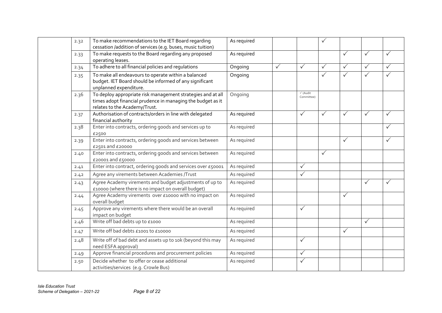| 2.32 | To make recommendations to the IET Board regarding<br>cessation /addition of services (e.g. buses, music tuition)                                           | As required |              |                       | $\checkmark$ |              |              |   |
|------|-------------------------------------------------------------------------------------------------------------------------------------------------------------|-------------|--------------|-----------------------|--------------|--------------|--------------|---|
| 2.33 | To make requests to the Board regarding any proposed<br>operating leases.                                                                                   | As required |              |                       |              | $\checkmark$ | $\checkmark$ |   |
| 2.34 | To adhere to all financial policies and regulations                                                                                                         | Ongoing     | $\checkmark$ | $\checkmark$          | $\checkmark$ | $\checkmark$ | $\checkmark$ |   |
| 2.35 | To make all endeavours to operate within a balanced<br>budget. IET Board should be informed of any significant<br>unplanned expenditure.                    | Ongoing     |              |                       | $\checkmark$ | $\checkmark$ | $\checkmark$ |   |
| 2.36 | To deploy appropriate risk management strategies and at all<br>times adopt financial prudence in managing the budget as it<br>relates to the Academy/Trust. | Ongoing     |              | √(Audit<br>Committee) |              |              |              |   |
| 2.37 | Authorisation of contracts/orders in line with delegated<br>financial authority                                                                             | As required |              | $\checkmark$          | $\checkmark$ | $\checkmark$ | $\checkmark$ | ✓ |
| 2.38 | Enter into contracts, ordering goods and services up to<br>£2500                                                                                            | As required |              |                       |              |              |              |   |
| 2.39 | Enter into contracts, ordering goods and services between<br>£2501 and £20000                                                                               | As required |              |                       |              | $\checkmark$ |              |   |
| 2.40 | Enter into contracts, ordering goods and services between<br>£20001 and £50000                                                                              | As required |              |                       | $\checkmark$ |              |              |   |
| 2.41 | Enter into contract, ordering goods and services over £50001                                                                                                | As required |              | $\checkmark$          |              |              |              |   |
| 2.42 | Agree any virements between Academies /Trust                                                                                                                | As required |              | $\checkmark$          |              |              |              |   |
| 2.43 | Agree Academy virements and budget adjustments of up to<br>£10000 (where there is no impact on overall budget)                                              | As required |              |                       |              |              | $\checkmark$ |   |
| 2.44 | Agree Academy virements over £10000 with no impact on<br>overall budget                                                                                     | As required |              |                       |              | $\checkmark$ |              |   |
| 2.45 | Approve any virements where there would be an overall<br>impact on budget                                                                                   | As required |              | $\checkmark$          |              |              |              |   |
| 2.46 | Write off bad debts up to £1000                                                                                                                             | As required |              |                       |              |              | $\checkmark$ |   |
| 2.47 | Write off bad debts £1001 to £10000                                                                                                                         | As required |              |                       |              | $\checkmark$ |              |   |
| 2.48 | Write off of bad debt and assets up to 10k (beyond this may<br>need ESFA approval)                                                                          | As required |              | $\checkmark$          |              |              |              |   |
| 2.49 | Approve financial procedures and procurement policies                                                                                                       | As required |              | $\checkmark$          |              |              |              |   |
| 2.50 | Decide whether to offer or cease additional<br>activities/services (e.g. Crowle Bus)                                                                        | As required |              | $\checkmark$          |              |              |              |   |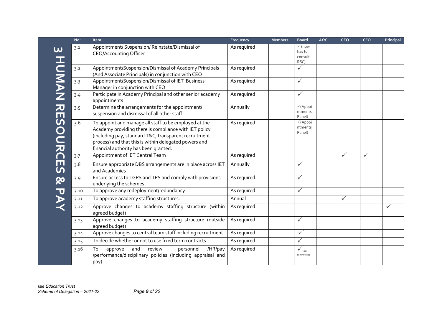|                               | No:  | Item                                                                                                                                                                                                                                                                      | Frequency    | <b>Members</b> | <b>Board</b>                                   | <b>AOC</b> | <b>CEO</b>   | <b>CFO</b>   | Principal    |
|-------------------------------|------|---------------------------------------------------------------------------------------------------------------------------------------------------------------------------------------------------------------------------------------------------------------------------|--------------|----------------|------------------------------------------------|------------|--------------|--------------|--------------|
|                               | 3.1  | Appointment/ Suspension/ Reinstate/Dismissal of<br><b>CEO/Accounting Officer</b>                                                                                                                                                                                          | As required  |                | $\checkmark$ (now<br>has to<br>consult<br>RSC) |            |              |              |              |
|                               | 3.2  | Appointment/Suspension/Dismissal of Academy Principals<br>(And Associate Principals) in conjunction with CEO                                                                                                                                                              | As required  |                | $\checkmark$                                   |            |              |              |              |
| <b>HONAN</b>                  | 3.3  | Appointment/Suspension/Dismissal of IET Business<br>Manager in conjunction with CEO                                                                                                                                                                                       | As required  |                | $\checkmark$                                   |            |              |              |              |
|                               | 3.4  | Participate in Academy Principal and other senior academy<br>appointments                                                                                                                                                                                                 | As required  |                | $\checkmark$                                   |            |              |              |              |
| 刀<br>$\blacksquare$           | 3.5  | Determine the arrangements for the appointment/<br>suspension and dismissal of all other staff                                                                                                                                                                            | Annually     |                | $\checkmark$ (Appoi<br>ntments<br>Panel)       |            |              |              |              |
| SOURC                         | 3.6  | To appoint and manage all staff to be employed at the<br>Academy providing there is compliance with IET policy<br>(including pay, standard T&C, transparent recruitment<br>process) and that this is within delegated powers and<br>financial authority has been granted. | As required  |                | $\checkmark$ (Appoi<br>ntments<br>Panel)       |            |              |              |              |
|                               | 3.7  | Appointment of IET Central Team                                                                                                                                                                                                                                           | As required  |                |                                                |            | ✓            | $\checkmark$ |              |
| $\overline{\Box}$<br><u>ທ</u> | 3.8  | Ensure appropriate DBS arrangements are in place across IET<br>and Academies                                                                                                                                                                                              | Annually     |                | $\checkmark$                                   |            |              |              |              |
| QΟ                            | 3.9  | Ensure access to LGPS and TPS and comply with provisions<br>underlying the schemes                                                                                                                                                                                        | As required. |                | $\checkmark$                                   |            |              |              |              |
| $\overline{\mathbf{U}}$       | 3.10 | To approve any redeployment/redundancy                                                                                                                                                                                                                                    | As required  |                | $\checkmark$                                   |            |              |              |              |
|                               | 3.11 | To approve academy staffing structures.                                                                                                                                                                                                                                   | Annual       |                |                                                |            | $\checkmark$ |              |              |
|                               | 3.12 | Approve changes to academy staffing structure (within<br>agreed budget)                                                                                                                                                                                                   | As required  |                |                                                |            |              |              | $\checkmark$ |
|                               | 3.13 | Approve changes to academy staffing structure (outside<br>agreed budget)                                                                                                                                                                                                  | As required  |                | $\checkmark$                                   |            |              |              |              |
|                               | 3.14 | Approve changes to central team staff including recruitment                                                                                                                                                                                                               | As required  |                | $\checkmark$                                   |            |              |              |              |
|                               | 3.15 | To decide whether or not to use fixed term contracts                                                                                                                                                                                                                      | As required  |                | $\checkmark$                                   |            |              |              |              |
|                               | 3.16 | and<br>review<br>/HR/pay<br>approve<br>personnel<br>To<br>/performance/disciplinary policies (including appraisal and<br>pay)                                                                                                                                             | As required  |                | $\checkmark_{\rm (pay)}$<br>committee)         |            |              |              |              |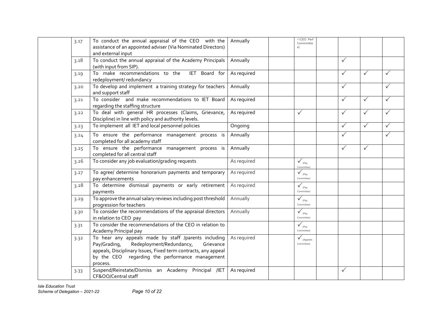| 3.17 | To conduct the annual appraisal of the CEO with the<br>assistance of an appointed adviser (Via Nominated Directors)<br>and external input                                                                                                      | Annually    | √(CEO Perf<br>Commmitte<br>e)                       |              |              |   |
|------|------------------------------------------------------------------------------------------------------------------------------------------------------------------------------------------------------------------------------------------------|-------------|-----------------------------------------------------|--------------|--------------|---|
| 3.18 | To conduct the annual appraisal of the Academy Principals<br>(with input from SIP).                                                                                                                                                            | Annually    |                                                     | $\checkmark$ |              |   |
| 3.19 | To make recommendations to the<br>IET Board for<br>redeployment/redundancy                                                                                                                                                                     | As required |                                                     | $\checkmark$ | $\checkmark$ |   |
| 3.20 | To develop and implement a training strategy for teachers<br>and support staff                                                                                                                                                                 | Annually    |                                                     | $\checkmark$ |              |   |
| 3.21 | To consider and make recommendations to IET Board<br>regarding the staffing structure                                                                                                                                                          | As required |                                                     | $\checkmark$ | $\checkmark$ |   |
| 3.22 | To deal with general HR processes (Claims, Grievance,<br>Discipline) in line with policy and authority levels.                                                                                                                                 | As required | ✓                                                   | $\checkmark$ | $\checkmark$ |   |
| 3.23 | To implement all IET and local personnel policies                                                                                                                                                                                              | Ongoing     |                                                     | $\checkmark$ | $\checkmark$ |   |
| 3.24 | To ensure the performance management process is<br>completed for all academy staff                                                                                                                                                             | Annually    |                                                     | $\checkmark$ |              | ✓ |
| 3.25 | To ensure the performance management process is<br>completed for all central staff                                                                                                                                                             | Annually    |                                                     | $\checkmark$ | $\checkmark$ |   |
| 3.26 | To consider any job evaluation/grading requests                                                                                                                                                                                                | As required | $\checkmark$ <sub>(Pay</sub><br>Committee)          |              |              |   |
| 3.27 | To agree/ determine honorarium payments and temporary<br>pay enhancements                                                                                                                                                                      | As required | $\checkmark$ <sub>(Pay</sub><br>Committee)          |              |              |   |
| 3.28 | To determine dismissal payments or early retirement<br>payments                                                                                                                                                                                | As required | $\checkmark$ <sub>(Pay</sub><br>Committee)          |              |              |   |
| 3.29 | To approve the annual salary reviews including post threshold<br>progression for teachers                                                                                                                                                      | Annually    | $\sqrt{P_{\text{av}}}$<br>Committee)                |              |              |   |
| 3.30 | To consider the recommendations of the appraisal directors<br>in relation to CEO pay                                                                                                                                                           | Annually    | $\checkmark$ <sub>(Pay</sub><br>Committee)          |              |              |   |
| 3.31 | To consider the recommendations of the CEO in relation to<br>Academy Principal pay                                                                                                                                                             |             | $\checkmark_{_{(Pay)}}$<br>Committee)               |              |              |   |
| 3.32 | To hear any appeals made by staff /parents including<br>Redeployment/Redundancy,<br>Pay/Grading,<br>Grievance<br>appeals, Disciplinary Issues, Fixed term contracts, any appeal<br>by the CEO regarding the performance management<br>process. | As required | $\boldsymbol{\checkmark}_{(Appends)}$<br>Committee) |              |              |   |
| 3.33 | Suspend/Reinstate/Dismiss an Academy Principal /IET<br>CF&OO/Central staff                                                                                                                                                                     | As required |                                                     | $\checkmark$ |              |   |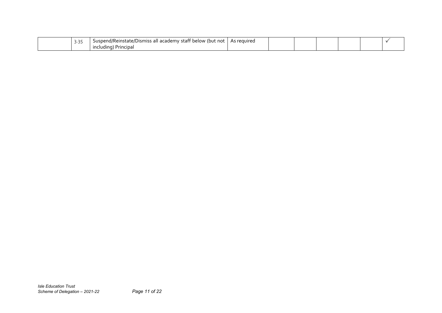| $\sim$ $\sim$ $\sim$<br>$\sim$ . $\sim$ .<br>╯ | Suspend/Reinstate/Dismiss all academy staff below (but not | As reguired |  |  |  |
|------------------------------------------------|------------------------------------------------------------|-------------|--|--|--|
|                                                | ) Principal<br>including)                                  |             |  |  |  |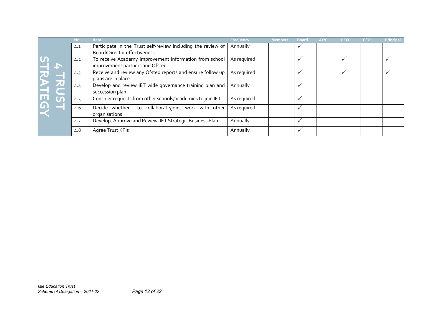|         |                                                               | No: | Item                                                                                                | Frequency   | <b>Members</b> | <b>Board</b> | AOC | CEO          | <b>CFO</b> | Principal    |
|---------|---------------------------------------------------------------|-----|-----------------------------------------------------------------------------------------------------|-------------|----------------|--------------|-----|--------------|------------|--------------|
|         |                                                               | 4.1 | Participate in the Trust self-review including the review of<br><b>Board/Director effectiveness</b> | Annually    |                | $\checkmark$ |     |              |            |              |
|         |                                                               | 4.2 | To receive Academy Improvement information from school<br>improvement partners and Ofsted           | As required |                | $\checkmark$ |     | $\checkmark$ |            | $\checkmark$ |
|         |                                                               | 4.3 | Receive and review any Ofsted reports and ensure follow up<br>plans are in place                    | As required |                | $\checkmark$ |     | $\checkmark$ |            | $\checkmark$ |
| TRATEGY | <b>NC</b>                                                     | 4.4 | Develop and review IET wide governance training plan and<br>succession plan                         | Annually    |                | $\checkmark$ |     |              |            |              |
|         | $\overline{\mathbf{u}}$                                       | 4.5 | Consider requests from other schools/academies to join IET                                          | As required |                | $\checkmark$ |     |              |            |              |
|         | F                                                             | 4.6 | Decide whether<br>to collaborate/joint work with other<br>organisations                             | As required |                | $\checkmark$ |     |              |            |              |
|         |                                                               | 4.7 | Develop, Approve and Review IET Strategic Business Plan                                             | Annually    |                | $\checkmark$ |     |              |            |              |
|         |                                                               | 4.8 | Agree Trust KPIs                                                                                    | Annually    |                | $\checkmark$ |     |              |            |              |
|         |                                                               |     |                                                                                                     |             |                |              |     |              |            |              |
|         | <b>Isle Education Trust</b><br>Scheme of Delegation - 2021-22 |     | Page 12 of 22                                                                                       |             |                |              |     |              |            |              |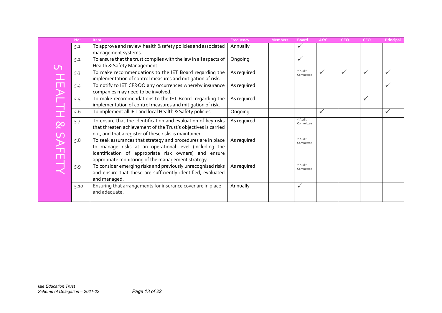|                                | No:  | Item                                                             | Frequency   | <b>Members</b> | <b>Board</b>        | AOC          | <b>CEO</b>   | <b>CFO</b>   | <b>Principal</b> |
|--------------------------------|------|------------------------------------------------------------------|-------------|----------------|---------------------|--------------|--------------|--------------|------------------|
|                                | 5.1  | To approve and review health & safety policies and associated    | Annually    |                | $\checkmark$        |              |              |              |                  |
|                                |      | management systems                                               |             |                |                     |              |              |              |                  |
|                                | 5.2  | To ensure that the trust complies with the law in all aspects of | Ongoing     |                | $\checkmark$        |              |              |              |                  |
| <u>ר</u>                       |      | Health & Safety Management                                       |             |                |                     |              |              |              |                  |
|                                | 5.3  | To make recommendations to the IET Board regarding the           | As required |                | √Audit<br>Committee | $\checkmark$ | $\checkmark$ | $\checkmark$ | $\checkmark$     |
|                                |      | implementation of control measures and mitigation of risk.       |             |                |                     |              |              |              |                  |
|                                | 5.4  | To notify to IET CF&OO any occurrences whereby insurance         | As required |                |                     |              |              |              | $\checkmark$     |
|                                |      | companies may need to be involved.                               |             |                |                     |              |              |              |                  |
|                                | 5.5  | To make recommendations to the IET Board regarding the           | As required |                |                     |              |              | $\checkmark$ |                  |
|                                |      | implementation of control measures and mitigation of risk.       |             |                |                     |              |              |              |                  |
| <b>HEALTH &amp; SAFETY</b>     | 5.6  | To implement all IET and local Health & Safety policies          | Ongoing     |                |                     | $\sqrt{}$    |              |              | $\checkmark$     |
|                                | 5.7  | To ensure that the identification and evaluation of key risks    | As required |                | √Audit<br>Committee |              |              |              |                  |
|                                |      | that threaten achievement of the Trust's objectives is carried   |             |                |                     |              |              |              |                  |
|                                |      | out, and that a register of these risks is maintained.           |             |                |                     |              |              |              |                  |
|                                | 5.8  | To seek assurances that strategy and procedures are in place     | As required |                | √Audit<br>Committee |              |              |              |                  |
|                                |      | to manage risks at an operational level (including the           |             |                |                     |              |              |              |                  |
|                                |      | identification of appropriate risk owners) and ensure            |             |                |                     |              |              |              |                  |
|                                |      | appropriate monitoring of the management strategy.               |             |                |                     |              |              |              |                  |
|                                | 5.9  | To consider emerging risks and previously unrecognised risks     | As required |                | √Audit<br>Committee |              |              |              |                  |
|                                |      | and ensure that these are sufficiently identified, evaluated     |             |                |                     |              |              |              |                  |
|                                |      | and managed.                                                     |             |                |                     |              |              |              |                  |
|                                | 5.10 | Ensuring that arrangements for insurance cover are in place      | Annually    |                | $\checkmark$        |              |              |              |                  |
|                                |      | and adequate.                                                    |             |                |                     |              |              |              |                  |
|                                |      |                                                                  |             |                |                     |              |              |              |                  |
|                                |      |                                                                  |             |                |                     |              |              |              |                  |
|                                |      |                                                                  |             |                |                     |              |              |              |                  |
|                                |      |                                                                  |             |                |                     |              |              |              |                  |
|                                |      |                                                                  |             |                |                     |              |              |              |                  |
|                                |      |                                                                  |             |                |                     |              |              |              |                  |
|                                |      |                                                                  |             |                |                     |              |              |              |                  |
|                                |      |                                                                  |             |                |                     |              |              |              |                  |
|                                |      |                                                                  |             |                |                     |              |              |              |                  |
|                                |      |                                                                  |             |                |                     |              |              |              |                  |
|                                |      |                                                                  |             |                |                     |              |              |              |                  |
|                                |      |                                                                  |             |                |                     |              |              |              |                  |
|                                |      |                                                                  |             |                |                     |              |              |              |                  |
| <b>Isle Education Trust</b>    |      |                                                                  |             |                |                     |              |              |              |                  |
| Scheme of Delegation - 2021-22 |      | Page 13 of 22                                                    |             |                |                     |              |              |              |                  |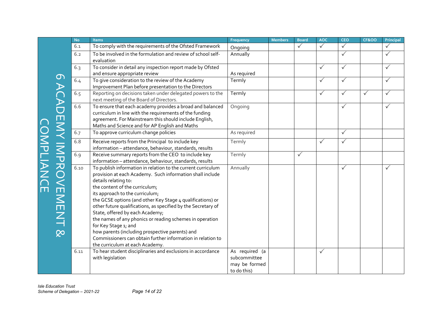| To comply with the requirements of the Ofsted Framework<br>6.1                                                                                                                                                                                                                                                                                                                                                                                                                                                                                                                                                                                                                     |                                                                | <b>Board</b> | <b>AOC</b>   | <b>CEO</b>   | <b>CF&amp;OO</b> | Principal    |
|------------------------------------------------------------------------------------------------------------------------------------------------------------------------------------------------------------------------------------------------------------------------------------------------------------------------------------------------------------------------------------------------------------------------------------------------------------------------------------------------------------------------------------------------------------------------------------------------------------------------------------------------------------------------------------|----------------------------------------------------------------|--------------|--------------|--------------|------------------|--------------|
|                                                                                                                                                                                                                                                                                                                                                                                                                                                                                                                                                                                                                                                                                    | Ongoing                                                        | $\checkmark$ | $\checkmark$ | $\checkmark$ |                  | $\checkmark$ |
| To be involved in the formulation and review of school self-<br>6.2<br>evaluation                                                                                                                                                                                                                                                                                                                                                                                                                                                                                                                                                                                                  | Annually                                                       |              |              | $\checkmark$ |                  | $\checkmark$ |
| To consider in detail any inspection report made by Ofsted<br>6.3                                                                                                                                                                                                                                                                                                                                                                                                                                                                                                                                                                                                                  |                                                                |              | $\checkmark$ | $\checkmark$ |                  | $\checkmark$ |
| and ensure appropriate review                                                                                                                                                                                                                                                                                                                                                                                                                                                                                                                                                                                                                                                      | As required                                                    |              |              |              |                  |              |
| To give consideration to the review of the Academy<br>6.4<br>Improvement Plan before presentation to the Directors                                                                                                                                                                                                                                                                                                                                                                                                                                                                                                                                                                 | Termly                                                         |              | $\checkmark$ | $\checkmark$ |                  |              |
| 6.5<br>Reporting on decisions taken under delegated powers to the<br>next meeting of the Board of Directors.                                                                                                                                                                                                                                                                                                                                                                                                                                                                                                                                                                       | Termly                                                         |              | $\checkmark$ | $\checkmark$ | $\checkmark$     |              |
| To ensure that each academy provides a broad and balanced<br>6.6<br>curriculum in line with the requirements of the funding<br>agreement. For Mainstream this should include English,<br>Maths and Science and for AP English and Maths                                                                                                                                                                                                                                                                                                                                                                                                                                            | Ongoing                                                        |              |              | $\checkmark$ |                  |              |
| 6.7<br>To approve curriculum change policies                                                                                                                                                                                                                                                                                                                                                                                                                                                                                                                                                                                                                                       | As required                                                    |              |              | $\checkmark$ |                  |              |
| 6.8<br>Receive reports from the Principal to include key<br>information - attendance, behaviour, standards, results                                                                                                                                                                                                                                                                                                                                                                                                                                                                                                                                                                | Termly                                                         |              | $\checkmark$ | $\checkmark$ |                  |              |
| Receive summary reports from the CEO to include key<br>6.9<br>information - attendance, behaviour, standards, results                                                                                                                                                                                                                                                                                                                                                                                                                                                                                                                                                              | Termly                                                         | $\checkmark$ |              |              |                  |              |
| 6 ACADEMY IMPROVEMENT &<br>COMPLIANCE<br>To publish information in relation to the current curriculum<br>6.10<br>provision at each Academy. Such information shall include<br>details relating to:<br>the content of the curriculum;<br>its approach to the curriculum;<br>the GCSE options (and other Key Stage 4 qualifications) or<br>other future qualifications, as specified by the Secretary of<br>State, offered by each Academy;<br>the names of any phonics or reading schemes in operation<br>for Key Stage 1; and<br>how parents (including prospective parents) and<br>Commissioners can obtain further information in relation to<br>the curriculum at each Academy. | Annually                                                       |              |              | $\checkmark$ |                  | $\checkmark$ |
| To hear student disciplinaries and exclusions in accordance<br>6.11<br>with legislation                                                                                                                                                                                                                                                                                                                                                                                                                                                                                                                                                                                            | As required (a<br>subcommittee<br>may be formed<br>to do this) |              | $\checkmark$ |              |                  |              |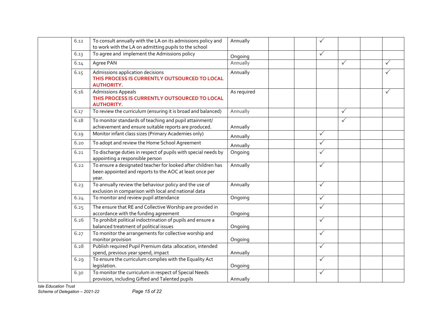| 6.12 | To consult annually with the LA on its admissions policy and<br>to work with the LA on admitting pupils to the school            | Annually    | $\checkmark$ |              |              |
|------|----------------------------------------------------------------------------------------------------------------------------------|-------------|--------------|--------------|--------------|
| 6.13 | To agree and implement the Admissions policy                                                                                     | Ongoing     | $\checkmark$ |              |              |
| 6.14 | Agree PAN                                                                                                                        | Annually    |              | $\checkmark$ | $\checkmark$ |
| 6.15 | Admissions application decisions<br>THIS PROCESS IS CURRENTLY OUTSOURCED TO LOCAL<br><b>AUTHORITY.</b>                           | Annually    |              |              | $\checkmark$ |
| 6.16 | <b>Admissions Appeals</b><br>THIS PROCESS IS CURRENTLY OUTSOURCED TO LOCAL<br><b>AUTHORITY.</b>                                  | As required |              |              | $\checkmark$ |
| 6.17 | To review the curriculum (ensuring it is broad and balanced)                                                                     | Annually    |              | $\checkmark$ |              |
| 6.18 | To monitor standards of teaching and pupil attainment/<br>achievement and ensure suitable reports are produced.                  | Annually    |              | $\checkmark$ |              |
| 6.19 | Monitor infant class sizes (Primary Academies only)                                                                              | Annually    | $\checkmark$ |              |              |
| 6.20 | To adopt and review the Home School Agreement                                                                                    | Annually    | $\checkmark$ |              |              |
| 6.21 | To discharge duties in respect of pupils with special needs by<br>appointing a responsible person                                | Ongoing     | $\checkmark$ |              |              |
| 6.22 | To ensure a designated teacher for looked after children has<br>been appointed and reports to the AOC at least once per<br>year. | Annually    | $\checkmark$ |              |              |
| 6.23 | To annually review the behaviour policy and the use of<br>exclusion in comparison with local and national data                   | Annually    | $\checkmark$ |              |              |
| 6.24 | To monitor and review pupil attendance                                                                                           | Ongoing     | $\checkmark$ |              |              |
| 6.25 | The ensure that RE and Collective Worship are provided in<br>accordance with the funding agreement                               | Ongoing     | $\checkmark$ |              |              |
| 6.26 | To prohibit political indoctrination of pupils and ensure a<br>balanced treatment of political issues                            | Ongoing     | $\sqrt{}$    |              |              |
| 6.27 | To monitor the arrangements for collective worship and<br>monitor provision                                                      | Ongoing     | $\sqrt{}$    |              |              |
| 6.28 | Publish required Pupil Premium data : allocation, intended<br>spend, previous year spend, impact                                 | Annually    | $\checkmark$ |              |              |
| 6.29 | To ensure the curriculum complies with the Equality Act<br>legislation.                                                          | Ongoing     | $\sqrt{}$    |              |              |
| 6.30 | To monitor the curriculum in respect of Special Needs<br>provision, including Gifted and Talented pupils                         | Annually    | $\checkmark$ |              |              |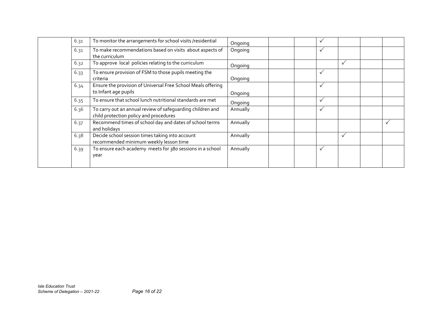| 6.31 | To monitor the arrangements for school visits /residential                                           | Ongoing  |  | $\check{}$   |              |  |
|------|------------------------------------------------------------------------------------------------------|----------|--|--------------|--------------|--|
| 6.31 | To make recommendations based on visits about aspects of<br>the curriculum                           | Ongoing  |  | $\checkmark$ |              |  |
| 6.32 | To approve local policies relating to the curriculum                                                 | Ongoing  |  |              | $\checkmark$ |  |
| 6.33 | To ensure provision of FSM to those pupils meeting the<br>criteria                                   | Ongoing  |  | ✓            |              |  |
| 6.34 | Ensure the provision of Universal Free School Meals offering<br>to Infant age pupils                 | Ongoing  |  | $\checkmark$ |              |  |
| 6.35 | To ensure that school lunch nutritional standards are met                                            | Ongoing  |  | ✓            |              |  |
| 6.36 | To carry out an annual review of safequarding children and<br>child protection policy and procedures | Annually |  | $\checkmark$ |              |  |
| 6.37 | Recommend times of school day and dates of school terms<br>and holidays                              | Annually |  |              |              |  |
| 6.38 | Decide school session times taking into account<br>recommended minimum weekly lesson time            | Annually |  |              | $\checkmark$ |  |
| 6.39 | To ensure each academy meets for 380 sessions in a school<br>year                                    | Annually |  | ✓            |              |  |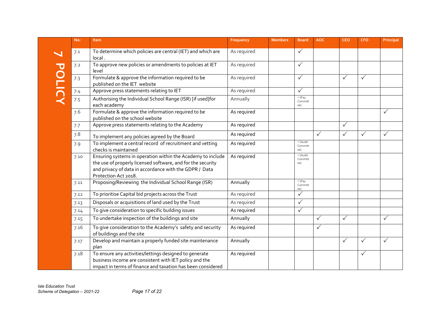|               | No:  | Item                                                                                                                                                                                                         | Frequency   | <b>Members</b> | <b>Board</b>                                   | <b>AOC</b>   | <b>CEO</b>   | <b>CFO</b>   | Principal    |
|---------------|------|--------------------------------------------------------------------------------------------------------------------------------------------------------------------------------------------------------------|-------------|----------------|------------------------------------------------|--------------|--------------|--------------|--------------|
|               | 7.1  | To determine which policies are central (IET) and which are<br>local.                                                                                                                                        | As required |                | ✓                                              |              |              |              |              |
|               | 7.2  | To approve new policies or amendments to policies at IET<br>level                                                                                                                                            | As required |                | ✓                                              |              |              |              |              |
| <b>POLICY</b> | 7.3  | Formulate & approve the information required to be<br>published on the IET website                                                                                                                           | As required |                | ✓                                              |              | $\checkmark$ | $\checkmark$ |              |
|               | 7.4  | Approve press statements relating to IET                                                                                                                                                                     | As required |                | ✓                                              |              |              |              |              |
|               | 7.5  | Authorising the Individual School Range (ISR) [if used]for<br>each academy                                                                                                                                   | Annually    |                | $\checkmark$ (Pay<br>Committ<br>ee)            |              |              |              |              |
|               | 7.6  | Formulate & approve the information required to be<br>published on the school website                                                                                                                        | As required |                |                                                |              |              |              | ✓            |
|               | 7.7  | Approve press statements relating to the Academy                                                                                                                                                             | As required |                |                                                |              | $\checkmark$ |              |              |
|               | 7.8  | To implement any policies agreed by the Board                                                                                                                                                                | As required |                |                                                | $\checkmark$ | $\checkmark$ | $\checkmark$ | ✓            |
|               | 7.9  | To implement a central record of recruitment and vetting<br>checks is maintained                                                                                                                             | As required |                | √(Audit<br>Committ<br>ee)                      |              |              |              |              |
|               | 7.10 | Ensuring systems in operation within the Academy to include<br>the use of properly licensed software, and for the security<br>and privacy of data in accordance with the GDPR / Data<br>Protection Act 2018. | As required |                | $\overline{\sqrt{2}}$ (Audit<br>Committ<br>ee) |              |              |              |              |
|               | 7.11 | Proposing/Reviewing the Individual School Range (ISR)                                                                                                                                                        | Annually    |                | $\sqrt{}$ (Pay<br>Committ<br>ee)               |              |              |              |              |
|               | 7.12 | To prioritise Capital bid projects across the Trust                                                                                                                                                          | As required |                | ✓                                              |              |              |              |              |
|               | 7.13 | Disposals or acquisitions of land used by the Trust                                                                                                                                                          | As required |                | $\checkmark$                                   |              |              |              |              |
|               | 7.14 | To give consideration to specific building issues                                                                                                                                                            | As required |                | $\checkmark$                                   |              |              |              |              |
|               | 7.15 | To undertake inspection of the buildings and site                                                                                                                                                            | Annually    |                |                                                | $\checkmark$ | $\checkmark$ |              | ✓            |
|               | 7.16 | To give consideration to the Academy's safety and security<br>of buildings and the site                                                                                                                      | As required |                |                                                | $\checkmark$ |              |              |              |
|               | 7.17 | Develop and maintain a properly funded site maintenance<br>plan                                                                                                                                              | Annually    |                |                                                |              | $\checkmark$ | $\checkmark$ | $\checkmark$ |
|               | 7.18 | To ensure any activities/lettings designed to generate<br>business income are consistent with IET policy and the<br>impact in terms of finance and taxation has been considered                              | As required |                |                                                |              |              | $\checkmark$ |              |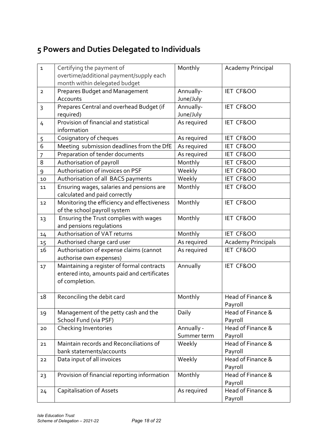## **5 Powers and Duties Delegated to Individuals**

| $\mathbf{1}$   | Certifying the payment of                    | Monthly     | Academy Principal         |
|----------------|----------------------------------------------|-------------|---------------------------|
|                | overtime/additional payment/supply each      |             |                           |
|                | month within delegated budget                |             |                           |
| $\overline{2}$ | Prepares Budget and Management               | Annually-   | IET CF&OO                 |
|                | Accounts                                     | June/July   |                           |
| 3              | Prepares Central and overhead Budget (if     | Annually-   | IET CF&OO                 |
|                | required)                                    | June/July   |                           |
| 4              | Provision of financial and statistical       | As required | IET CF&OO                 |
|                | information                                  |             |                           |
| 5              | Cosignatory of cheques                       | As required | IET CF&OO                 |
| 6              | Meeting submission deadlines from the DfE    | As required | IET CF&OO                 |
| 7              | Preparation of tender documents              | As required | IET CF&OO                 |
| 8              | Authorisation of payroll                     | Monthly     | IET CF&OO                 |
| 9              | Authorisation of invoices on PSF             | Weekly      | IET CF&OO                 |
| 10             | Authorisation of all BACS payments           | Weekly      | IET CF&OO                 |
| 11             | Ensuring wages, salaries and pensions are    | Monthly     | IET CF&OO                 |
|                | calculated and paid correctly                |             |                           |
| 12             | Monitoring the efficiency and effectiveness  | Monthly     | IET CF&OO                 |
|                | of the school payroll system                 |             |                           |
| 13             | Ensuring the Trust complies with wages       | Monthly     | IET CF&OO                 |
|                | and pensions regulations                     |             |                           |
| 14             | Authorisation of VAT returns                 | Monthly     | IET CF&OO                 |
| 15             | Authorised charge card user                  | As required | <b>Academy Principals</b> |
| 16             | Authorisation of expense claims (cannot      | As required | IET CF&OO                 |
|                | authorise own expenses)                      |             |                           |
| 17             | Maintaining a register of formal contracts   | Annually    | IET CF&OO                 |
|                | entered into, amounts paid and certificates  |             |                           |
|                | of completion.                               |             |                           |
|                |                                              |             |                           |
| 18             | Reconciling the debit card                   | Monthly     | Head of Finance &         |
|                |                                              |             | Payroll                   |
| 19             | Management of the petty cash and the         | Daily       | Head of Finance &         |
|                | School Fund (via PSF)                        |             | Payroll                   |
| 20             | Checking Inventories                         | Annually -  | Head of Finance &         |
|                |                                              | Summer term | Payroll                   |
| 21             | Maintain records and Reconciliations of      | Weekly      | Head of Finance &         |
|                | bank statements/accounts                     |             | Payroll                   |
| 22             | Data input of all invoices                   | Weekly      | Head of Finance &         |
|                |                                              |             | Payroll                   |
| 23             | Provision of financial reporting information | Monthly     | Head of Finance &         |
|                |                                              |             | Payroll                   |
| 24             | <b>Capitalisation of Assets</b>              | As required | Head of Finance &         |
|                |                                              |             | Payroll                   |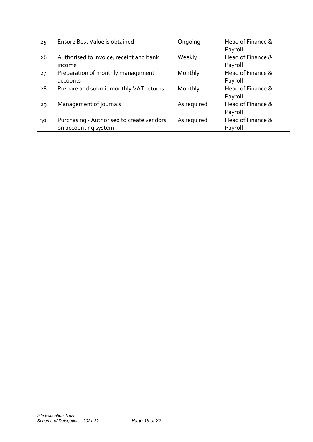| 25 | Ensure Best Value is obtained             | Ongoing     | Head of Finance & |
|----|-------------------------------------------|-------------|-------------------|
|    |                                           |             | Payroll           |
| 26 | Authorised to invoice, receipt and bank   | Weekly      | Head of Finance & |
|    | income                                    |             | Payroll           |
| 27 | Preparation of monthly management         | Monthly     | Head of Finance & |
|    | accounts                                  |             | Payroll           |
| 28 | Prepare and submit monthly VAT returns    | Monthly     | Head of Finance & |
|    |                                           |             | Payroll           |
| 29 | Management of journals                    | As required | Head of Finance & |
|    |                                           |             | Payroll           |
| 30 | Purchasing - Authorised to create vendors | As required | Head of Finance & |
|    | on accounting system                      |             | Payroll           |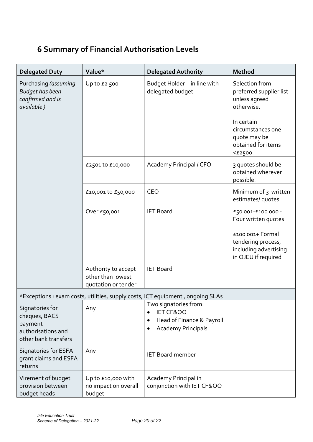## **6 Summary of Financial Authorisation Levels**

| <b>Delegated Duty</b>                                                                     | Value*                                                          | <b>Delegated Authority</b>                                                                                                             | Method                                                                                                                                            |
|-------------------------------------------------------------------------------------------|-----------------------------------------------------------------|----------------------------------------------------------------------------------------------------------------------------------------|---------------------------------------------------------------------------------------------------------------------------------------------------|
| Purchasing (assuming<br><b>Budget has been</b><br>confirmed and is<br>available)          | Up to £2 500                                                    | Budget Holder - in line with<br>delegated budget                                                                                       | Selection from<br>preferred supplier list<br>unless agreed<br>otherwise.<br>In certain<br>circumstances one<br>quote may be<br>obtained for items |
|                                                                                           | £2501 to £10,000                                                | Academy Principal / CFO                                                                                                                | $<$ $E$ 2500<br>3 quotes should be<br>obtained wherever<br>possible.                                                                              |
|                                                                                           | £10,001 to £50,000                                              | <b>CEO</b>                                                                                                                             | Minimum of 3 written<br>estimates/ quotes                                                                                                         |
|                                                                                           | Over £50,001                                                    | <b>IET Board</b>                                                                                                                       | £50 001-£100 000 -<br>Four written quotes<br>£100 001+ Formal<br>tendering process,<br>including advertising                                      |
|                                                                                           | Authority to accept<br>other than lowest<br>quotation or tender | <b>IET Board</b>                                                                                                                       | in OJEU if required                                                                                                                               |
|                                                                                           |                                                                 | *Exceptions : exam costs, utilities, supply costs, ICT equipment, ongoing SLAs                                                         |                                                                                                                                                   |
| Signatories for<br>cheques, BACS<br>payment<br>authorisations and<br>other bank transfers | Any                                                             | Two signatories from:<br><b>IET CF&amp;OO</b><br>$\bullet$<br>Head of Finance & Payroll<br>٠<br><b>Academy Principals</b><br>$\bullet$ |                                                                                                                                                   |
| Signatories for ESFA<br>grant claims and ESFA<br>returns                                  | Any                                                             | <b>IET Board member</b>                                                                                                                |                                                                                                                                                   |
| Virement of budget<br>provision between<br>budget heads                                   | Up to £10,000 with<br>no impact on overall<br>budget            | Academy Principal in<br>conjunction with IET CF&OO                                                                                     |                                                                                                                                                   |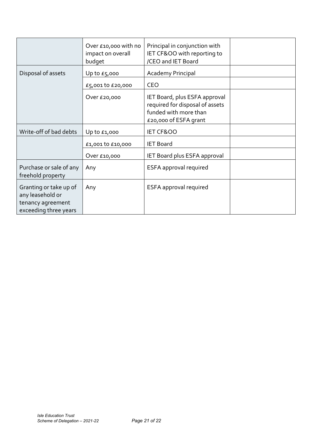|                                                                                          | Over £10,000 with no<br>impact on overall<br>budget | Principal in conjunction with<br>IET CF&OO with reporting to<br>/CEO and IET Board                                 |  |
|------------------------------------------------------------------------------------------|-----------------------------------------------------|--------------------------------------------------------------------------------------------------------------------|--|
| Disposal of assets                                                                       | Up to $E_5$ ,000                                    | Academy Principal                                                                                                  |  |
|                                                                                          | £5,001 to £20,000                                   | <b>CEO</b>                                                                                                         |  |
|                                                                                          | Over £20,000                                        | IET Board, plus ESFA approval<br>required for disposal of assets<br>funded with more than<br>£20,000 of ESFA grant |  |
| Write-off of bad debts                                                                   | Up to $£1,000$                                      | IET CF&OO                                                                                                          |  |
|                                                                                          | £1,001 to £10,000                                   | <b>IET Board</b>                                                                                                   |  |
|                                                                                          | Over £10,000                                        | IET Board plus ESFA approval                                                                                       |  |
| Purchase or sale of any<br>freehold property                                             | Any                                                 | ESFA approval required                                                                                             |  |
| Granting or take up of<br>any leasehold or<br>tenancy agreement<br>exceeding three years | Any                                                 | ESFA approval required                                                                                             |  |